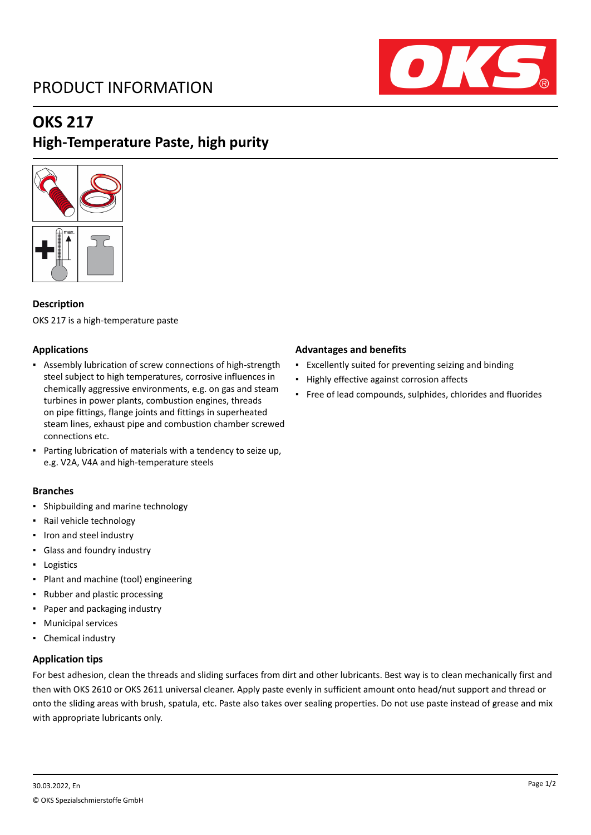# PRODUCT INFORMATION



# **OKS 217**

### **High-Temperature Paste, high purity**



### **Description**

OKS 217 is a high-temperature paste

### **Applications**

- Assembly lubrication of screw connections of high-strength steel subject to high temperatures, corrosive influences in chemically aggressive environments, e.g. on gas and steam turbines in power plants, combustion engines, threads on pipe fittings, flange joints and fittings in superheated steam lines, exhaust pipe and combustion chamber screwed connections etc.
- Parting lubrication of materials with a tendency to seize up, e.g. V2A, V4A and high-temperature steels

### **Branches**

- Shipbuilding and marine technology
- Rail vehicle technology
- Iron and steel industry
- Glass and foundry industry
- Logistics
- Plant and machine (tool) engineering
- Rubber and plastic processing
- Paper and packaging industry
- Municipal services
- Chemical industry

### **Application tips**

### For best adhesion, clean the threads and sliding surfaces from dirt and other lubricants. Best way is to clean mechanically first and then with OKS 2610 or OKS 2611 universal cleaner. Apply paste evenly in sufficient amount onto head/nut support and thread or onto the sliding areas with brush, spatula, etc. Paste also takes over sealing properties. Do not use paste instead of grease and mix with appropriate lubricants only.

#### **Advantages and benefits**

- Excellently suited for preventing seizing and binding
- Highly effective against corrosion affects
- Free of lead compounds, sulphides, chlorides and fluorides